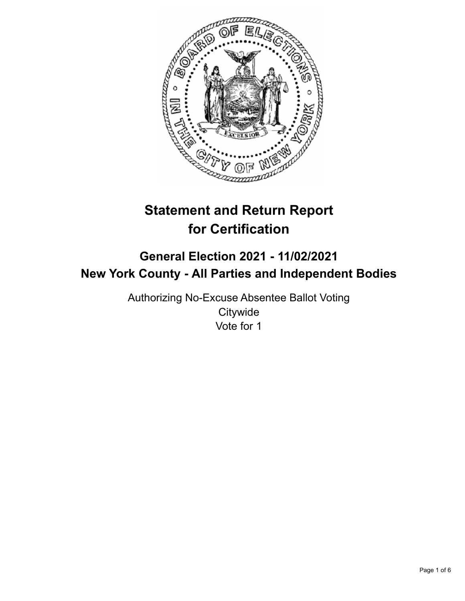

# **Statement and Return Report for Certification**

# **General Election 2021 - 11/02/2021 New York County - All Parties and Independent Bodies**

Authorizing No-Excuse Absentee Ballot Voting **Citywide** Vote for 1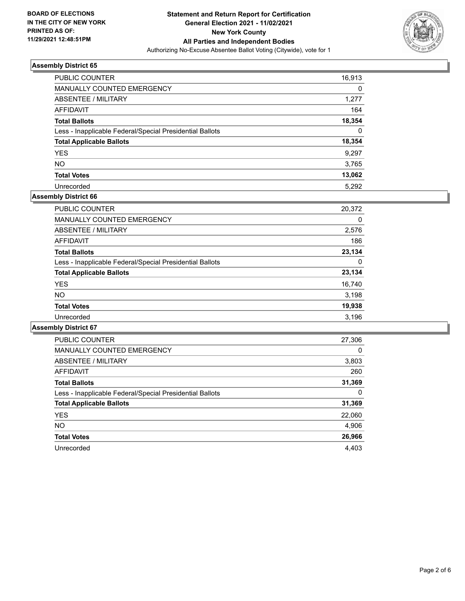

| <b>PUBLIC COUNTER</b>                                    | 16,913   |
|----------------------------------------------------------|----------|
| MANUALLY COUNTED EMERGENCY                               | 0        |
| ABSENTEE / MILITARY                                      | 1,277    |
| AFFIDAVIT                                                | 164      |
| <b>Total Ballots</b>                                     | 18,354   |
| Less - Inapplicable Federal/Special Presidential Ballots | $\Omega$ |
| <b>Total Applicable Ballots</b>                          | 18,354   |
| <b>YES</b>                                               | 9.297    |
| <b>NO</b>                                                | 3,765    |
| <b>Total Votes</b>                                       | 13,062   |
| Unrecorded                                               | 5.292    |

# **Assembly District 66**

| PUBLIC COUNTER                                           | 20,372 |
|----------------------------------------------------------|--------|
| <b>MANUALLY COUNTED EMERGENCY</b>                        | 0      |
| ABSENTEE / MILITARY                                      | 2,576  |
| AFFIDAVIT                                                | 186    |
| <b>Total Ballots</b>                                     | 23,134 |
| Less - Inapplicable Federal/Special Presidential Ballots | 0      |
| <b>Total Applicable Ballots</b>                          | 23,134 |
| <b>YES</b>                                               | 16,740 |
| <b>NO</b>                                                | 3,198  |
| <b>Total Votes</b>                                       | 19,938 |
| Unrecorded                                               | 3,196  |

| <b>PUBLIC COUNTER</b>                                    | 27,306   |
|----------------------------------------------------------|----------|
| <b>MANUALLY COUNTED EMERGENCY</b>                        | $\Omega$ |
| ABSENTEE / MILITARY                                      | 3,803    |
| AFFIDAVIT                                                | 260      |
| <b>Total Ballots</b>                                     | 31,369   |
| Less - Inapplicable Federal/Special Presidential Ballots | 0        |
| <b>Total Applicable Ballots</b>                          | 31,369   |
| <b>YES</b>                                               | 22,060   |
| NO.                                                      | 4,906    |
| <b>Total Votes</b>                                       | 26,966   |
| Unrecorded                                               | 4.403    |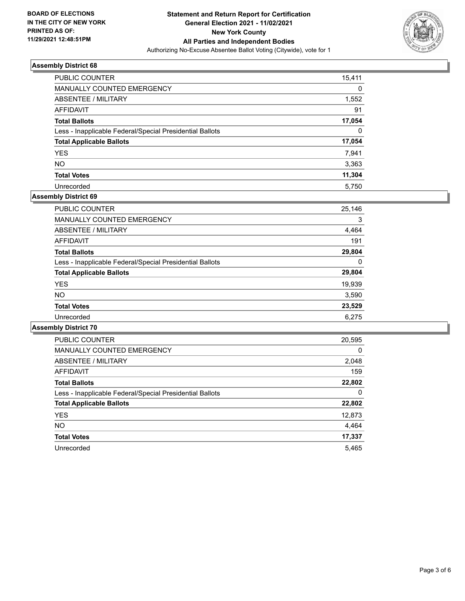

| PUBLIC COUNTER                                           | 15,411 |
|----------------------------------------------------------|--------|
| MANUALLY COUNTED EMERGENCY                               | 0      |
| ABSENTEE / MILITARY                                      | 1,552  |
| AFFIDAVIT                                                | 91     |
| <b>Total Ballots</b>                                     | 17,054 |
| Less - Inapplicable Federal/Special Presidential Ballots | 0      |
| <b>Total Applicable Ballots</b>                          | 17,054 |
| <b>YES</b>                                               | 7.941  |
| <b>NO</b>                                                | 3,363  |
| <b>Total Votes</b>                                       | 11,304 |
| Unrecorded                                               | 5.750  |

# **Assembly District 69**

| <b>PUBLIC COUNTER</b>                                    | 25,146 |
|----------------------------------------------------------|--------|
| <b>MANUALLY COUNTED EMERGENCY</b>                        | 3      |
| ABSENTEE / MILITARY                                      | 4,464  |
| <b>AFFIDAVIT</b>                                         | 191    |
| <b>Total Ballots</b>                                     | 29,804 |
| Less - Inapplicable Federal/Special Presidential Ballots | 0      |
| <b>Total Applicable Ballots</b>                          | 29,804 |
| <b>YES</b>                                               | 19,939 |
| <b>NO</b>                                                | 3,590  |
| <b>Total Votes</b>                                       | 23,529 |
| Unrecorded                                               | 6.275  |

| <b>PUBLIC COUNTER</b>                                    | 20,595   |
|----------------------------------------------------------|----------|
| <b>MANUALLY COUNTED EMERGENCY</b>                        | $\Omega$ |
| ABSENTEE / MILITARY                                      | 2,048    |
| <b>AFFIDAVIT</b>                                         | 159      |
| <b>Total Ballots</b>                                     | 22,802   |
| Less - Inapplicable Federal/Special Presidential Ballots | 0        |
| <b>Total Applicable Ballots</b>                          | 22,802   |
| <b>YES</b>                                               | 12,873   |
| <b>NO</b>                                                | 4,464    |
| <b>Total Votes</b>                                       | 17,337   |
| Unrecorded                                               | 5.465    |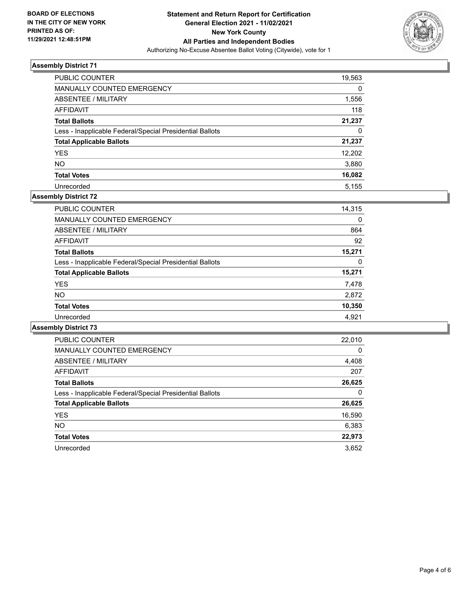

| <b>PUBLIC COUNTER</b>                                    | 19,563 |
|----------------------------------------------------------|--------|
| MANUALLY COUNTED EMERGENCY                               | 0      |
| ABSENTEE / MILITARY                                      | 1,556  |
| AFFIDAVIT                                                | 118    |
| <b>Total Ballots</b>                                     | 21,237 |
| Less - Inapplicable Federal/Special Presidential Ballots | 0      |
| <b>Total Applicable Ballots</b>                          | 21,237 |
| <b>YES</b>                                               | 12,202 |
| <b>NO</b>                                                | 3,880  |
| <b>Total Votes</b>                                       | 16,082 |
| Unrecorded                                               | 5.155  |

# **Assembly District 72**

| PUBLIC COUNTER                                           | 14,315 |
|----------------------------------------------------------|--------|
| MANUALLY COUNTED EMERGENCY                               | 0      |
| ABSENTEE / MILITARY                                      | 864    |
| AFFIDAVIT                                                | 92     |
| <b>Total Ballots</b>                                     | 15,271 |
| Less - Inapplicable Federal/Special Presidential Ballots | 0      |
| <b>Total Applicable Ballots</b>                          | 15,271 |
| <b>YES</b>                                               | 7,478  |
| <b>NO</b>                                                | 2,872  |
| <b>Total Votes</b>                                       | 10,350 |
| Unrecorded                                               | 4,921  |

| <b>PUBLIC COUNTER</b>                                    | 22,010   |
|----------------------------------------------------------|----------|
| <b>MANUALLY COUNTED EMERGENCY</b>                        | $\Omega$ |
| ABSENTEE / MILITARY                                      | 4,408    |
| <b>AFFIDAVIT</b>                                         | 207      |
| <b>Total Ballots</b>                                     | 26,625   |
| Less - Inapplicable Federal/Special Presidential Ballots | 0        |
| <b>Total Applicable Ballots</b>                          | 26,625   |
| <b>YES</b>                                               | 16,590   |
| NO.                                                      | 6,383    |
| <b>Total Votes</b>                                       | 22,973   |
| Unrecorded                                               | 3.652    |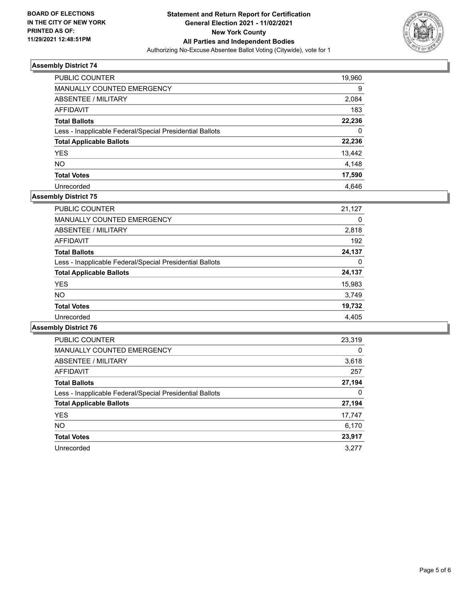

| PUBLIC COUNTER                                           | 19,960 |
|----------------------------------------------------------|--------|
| MANUALLY COUNTED EMERGENCY                               | 9      |
| ABSENTEE / MILITARY                                      | 2,084  |
| AFFIDAVIT                                                | 183    |
| <b>Total Ballots</b>                                     | 22.236 |
| Less - Inapplicable Federal/Special Presidential Ballots | 0      |
| <b>Total Applicable Ballots</b>                          | 22,236 |
| <b>YES</b>                                               | 13,442 |
| <b>NO</b>                                                | 4,148  |
| <b>Total Votes</b>                                       | 17,590 |
| Unrecorded                                               | 4.646  |

# **Assembly District 75**

| <b>PUBLIC COUNTER</b>                                    | 21,127 |
|----------------------------------------------------------|--------|
| <b>MANUALLY COUNTED EMERGENCY</b>                        | 0      |
| ABSENTEE / MILITARY                                      | 2,818  |
| AFFIDAVIT                                                | 192    |
| <b>Total Ballots</b>                                     | 24,137 |
| Less - Inapplicable Federal/Special Presidential Ballots | 0      |
| <b>Total Applicable Ballots</b>                          | 24,137 |
| <b>YES</b>                                               | 15,983 |
| <b>NO</b>                                                | 3,749  |
| <b>Total Votes</b>                                       | 19,732 |
| Unrecorded                                               | 4.405  |

| <b>PUBLIC COUNTER</b>                                    | 23,319   |
|----------------------------------------------------------|----------|
| <b>MANUALLY COUNTED EMERGENCY</b>                        | $\Omega$ |
| ABSENTEE / MILITARY                                      | 3,618    |
| AFFIDAVIT                                                | 257      |
| <b>Total Ballots</b>                                     | 27,194   |
| Less - Inapplicable Federal/Special Presidential Ballots | 0        |
| <b>Total Applicable Ballots</b>                          | 27,194   |
| <b>YES</b>                                               | 17,747   |
| <b>NO</b>                                                | 6,170    |
| <b>Total Votes</b>                                       | 23,917   |
| Unrecorded                                               | 3.277    |